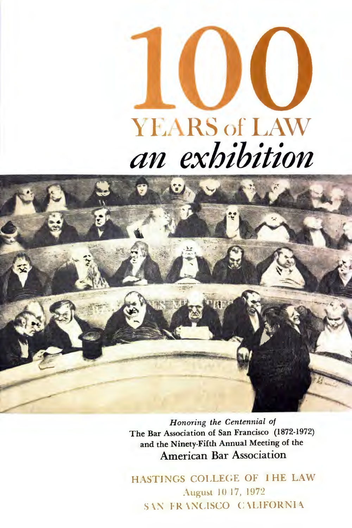



*Honoring the Centennial of*  The Bar Association of San Francisco (1872-1972) and the Ninety-Fifth Annual Meeting of the American Bar Association

HASTINGS COLLEGE OF THE LAW August 10 17, 1972 SAN FRANCISCO CALIFORNIA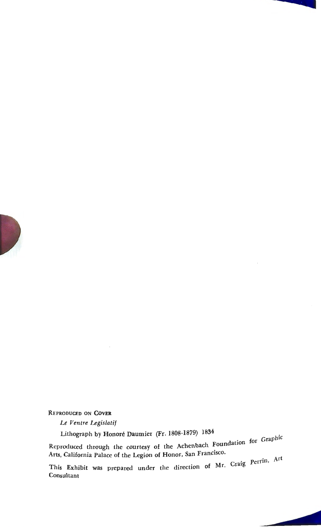

#### REPRODUCED ON **COVER**

*Le Ventre Legislatif* 

Lithograph by Honore Daumier (Fr. 1808-1879) 1834

Reproduced through the courtesy of the Achenbach Foundation for Graphic Arts, California Palace of the Legion of Honor, San Francisco.

This Exhibit was prepared under the direction of Mr. Craig  $Perfin$ ,  $\mathbb{P}^1$  $Consulta$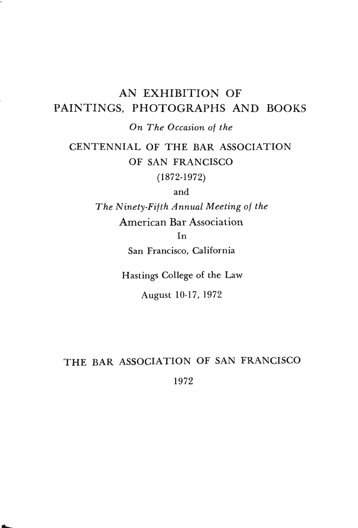# AN EXHIBITION OF PAINTINGS, PHOTOGRAPHS AND BOOKS

*On The Occasion of the* 

# CENTENNIAL OF THE BAR ASSOCIATION OF SAN FRANCISCO

(1872-1972)

and

*The Ninety-Fifth Annual Meeting of the* 

American Bar Association

In

San Francisco, California

Hastings College of the Law

August 10-17, 1972

# THE BAR ASSOCIATION OF SAN FRANCISCO 1972

..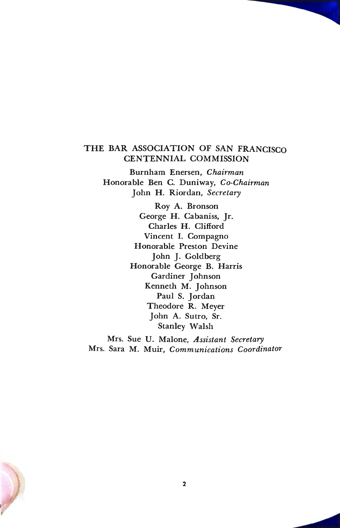## THE BAR ASSOCIATION OF SAN FRANCISCO CENTENNIAL COMMISSION

Burnham Enersen, *Chairman*  Honorable Ben C. Duniway, *Co-Chairman*  John H. Riordan, *Secretary* 

> Roy A. Bronson George **H.** Cabaniss, Jr. Charles **H.** Clifford Vincent I. Compagno Honorable Preston Devine John J. Goldberg Honorable George B. Harris Gardiner Johnson Kenneth M. Johnson Paul S. Jordan Theodore R. Meyer John A. Sutro, Sr. Stanley Walsh

Mrs. Sue U. Malone, *Assistant Secretary*  Mrs. Sara M. Muir, *Communications Coordinator* 

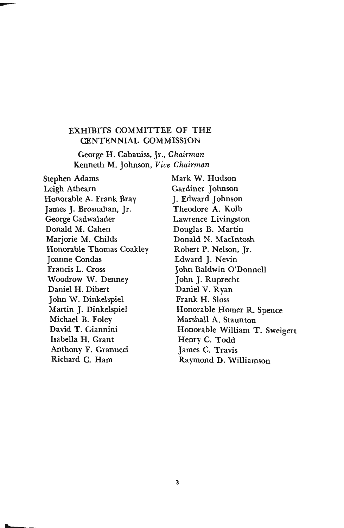## EXHIBITS COMMITTEE OF THE CENTENNIAL COMMISSION

George H. Cabaniss, Jr., *Chairman*  Kenneth M. Johnson, *Vice Chairman* 

Stephen Adams Mark W. Hudson Leigh Athearn Gardiner Johnson Honorable A. Frank Bray J. Edward Johnson James J. Brosnahan, Jr. Theodore A. Kolb George Cadwalader **Lawrence Livingston** Donald M. Cahen Douglas B. Martin Marjorie M. Childs Donald N. MacIntosh Honorable Thomas Coakley Robert **P.** Nelson, Jr. Joanne Condas Edward J. Nevin Francis L. Cross John Baldwin O'Donnell Woodrow W. Denney John J. Ruprecht Daniel H. Dibert Daniel V. Ryan John W. Dinkelspiel Frank **H.** Sloss Michael B. Foley Marshall A. Staunton David T. Giannini Isabella **H.** Grant Anthony F. Granucci Richard C. Ham

t

Martin J. Dinkelspiel **Honorable Homer R. Spence** Honorable William T. Sweigert Henry C. Todd James C. Travis Raymond D. Williamson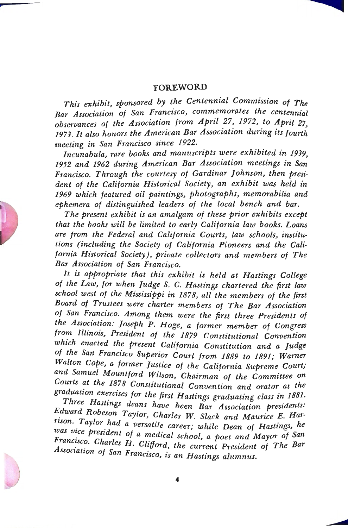### **FOREWORD**

*This exhibit, sponsored by the Centennial Commission of The*  Bar Association of San Francisco, commemorates the centennial observances of the Association from April 27, 1972, to April 27, *1973. It also honors the American Bar Association during its fourth meeting in San Francisco since 1922.* 

*Incunabula, rare books and manuscripts were exhibited in 1939, 1952 and 1962 during American Bar Association meetings in San Francisco. Through the courtesy of Gardinar Johnson, then president of the California Historical Society, an exhibit was held in 1969 which featured oil paintings, photographs, memorabilia and ephemera of distinguished leaders of the local bench \_and bar.* 

*The present exhibit is an amalgam of these prior exhibits except that the books will be limited to early California law books. Loans are from the Federal and California Courts, law schools, institutions (including the Society of California Pioneers and the California Historical Society), private collectors and members of The Bar Association of San Francisco.* 

*It is appropriate that this exhibit is held at Hastings College of the Law, for when Judge S.* C. *Hastings chartered the first law school west of the Mississippi in 1878, all the members of the first Board of Trustees were charter members of The Bar Association of San Francisco. Among them were the first three Presidents of the Association: Joseph P. Hoge, a former member of Congress from Illinois, President of the 1879 Constitutional Convention which enacted the present California Constitution and a Judge of the San Francisco Superior Court from 1889 to 1891; Warner Walton Cope, a former Justice of the California Supreme Court; and Samuel Mountford Wilson, Chairman of the Committee on Courts at the 1878 Constitutional Convention and orator at the*  graduation exercises for the first Hastings graduating class in 1881.

*Three Hastings deans have been Bar Association presidents:* Edward Robeson Taylor, Charles W. Slack and Maurice E. Harrison. Taylor had a versatile career; while Dean of Hastings, he *was vice president of a medical school, a poet and Mayor of San Francisco. Charles H. Clifford, the current President of The Bar Franc~sc?. Charles H. Clifford, the current President of The Bar Association of San F* · . . *ranczsco, is an Hastings alumnus.* 



**r** 



**C**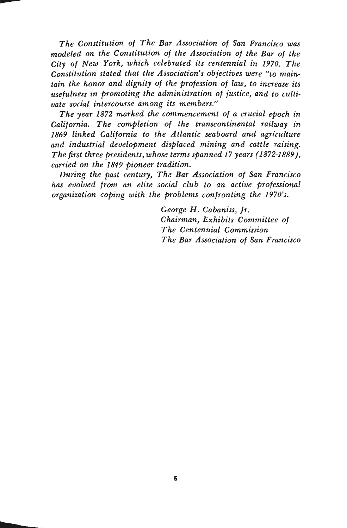*The Constitution of The Bar Association of San Francisco was modeled on the Constitution of the Association of the Bar of the City of New York, which celebrated its centennial in 1970. The Constitution stated that the Association's objectives were "to maintain the honor and dignity of the profession of law, to increase its usefulness in promoting the administration of justice, and to cultivate social intercourse among its members."* 

*The year 1872 marked the commencement of a crucial epoch in California. The completion of the transcontinental railway in 1869 linked California to the Atlantic seaboard and agriculture and industrial development displaced mining and cattle raising. The first three presidents, whose terms spanned 17 years (1872-1889 ), carried on the 1849 pioneer tradition.* 

*During the past century, The Bar Association of San Francisco has evolved from an elite social club to an active professional organization coping with the problems confronting the 1970's.* 

> *George H. Cabaniss, Jr. Chairman, Exhibits Committee of The Centennial Commission The Bar Association of San Francisco*

b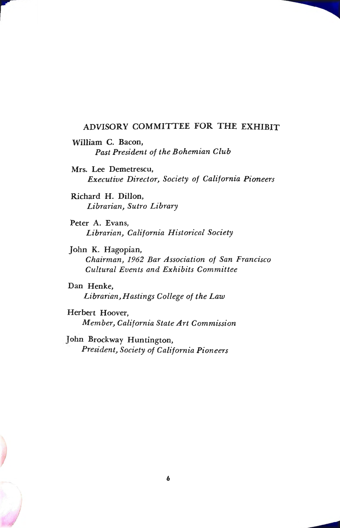### ADVISORY COMMITTEE FOR THE EXHIBIT

- William C. Bacon, *Past President of the Bohemian Club*
- Mrs. Lee Demetrescu, *Executive Director, Society of California Pioneers*

Richard H. Dillon, *Librarian, Sutro Library* 

I

Peter A. Evans, *Librarian, California Historical Society* 

John K. Hagopian, *Chairman, 1962 Bar Association of San Francisco Cultural Events and Exhibits Committee* 

Dan Henke, *Librarian, Hastings College of the Law* 

Herbert Hoover, *Member, California State Art Commission* 

John Brockway Huntington, *President, Society of California Pioneers*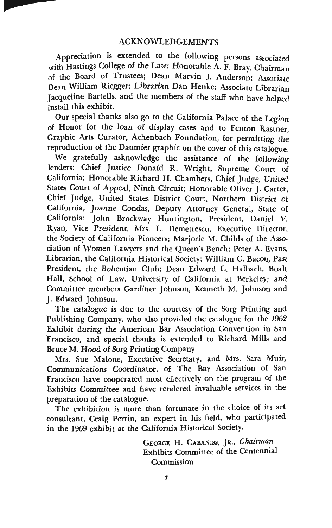Appreciation is extended to the following persons associated with Hastings College of the Law: Honorable A. F. Bray, Chairman of the Board of Trustees; Dean Marvin J. Anderson; Associate Dean William Riegger; Librarian Dan Henke; Associate Librarian Jacqueline Bartells, and the members of the staff who have helped install this exhibit.

Our special thanks also go to the California Palace of the Legion of Honor for the loan of display cases and to Fenton Kastner, Graphic Arts Curator, Achenbach Foundation, for permitting the reproduction of the Daumier graphic on the cover of this catalogue.

We gratefully asknowledge the assistance of the following lenders: Chief Justice Donald R. Wright, Supreme Court of California; Honorable Richard H. Chambers, Chief Judge, United States Court of Appeal, Ninth Circuit; Honorable Oliver J. Carter, Chief Judge, United States District Court, Northern District of California; Joanne Condas, Deputy Attorney General, State of California; John Brockway Huntington, President, Daniel V. Ryan, Vice President, Mrs. L. Demetrescu, Executive Director, the Society of California Pioneers; Marjorie M. Childs of the Association of Women Lawyers and the Queen's Bench; Peter A. Evans, Librarian, the California Historical Society; William C. Bacon, Past President, the Bohemian Club; Dean Edward C. Halbach, Boalt **Hall,** School of Law, University of California at Berkeley; and Committee members Gardiner Johnson, Kenneth M. Johnson and J. Edward Johnson.

The catalogue is due to the courtesy of the Sorg Printing and Publishing Company, who also provided the catalogue for the 1962 Exhibit during the American Bar Association Convention in San Francisco, and special thanks is extended to Richard Mills and Bruce M. Hood of Sorg Printing Company.

Mrs. Sue Malone, Executive Secretary, and Mrs. Sara Muir, Communications Coordinator, of The Bar Association of San Francisco have cooperated most effectively on the program of the Exhibits Committee and have rendered invaluable services in the preparation of the catalogue.

The exhibition is more than fortunate in the choice of its art consultant, Craig Perrin, an expert in his field, who participated in the 1969 exhibit at the California Historical Society.

> GEORGE H. CABANISS, JR., *Chairman*  Exhibits Committee of the Centennial Commission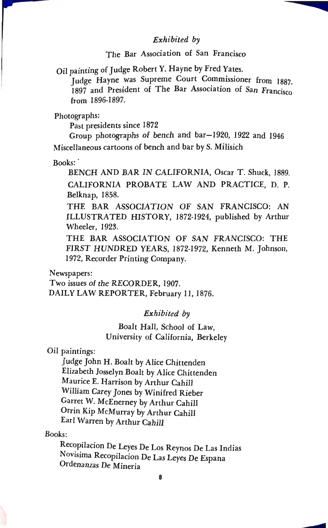#### *Exhibited by*

### The Bar Association of San Francisco

Oil painting of Judge Robert Y. Hayne by Fred Yates.

Judge Hayne was Supreme Court Commissioner from 1887. 1897 and President of The Bar Association of San Francisco from 1896-1897.

Photographs:

Past presidents since 1872

Group photographs of bench and bar-1920, 1922 and 1946 Miscellaneous cartoons of bench and bar by S. Milisich

Books:

BENCH AND BAR IN CALIFORNIA, Oscar T. Shuck, 1889. CALIFORNIA PROBATE LAW AND PRACTICE, D. P. Belknap, 1858.

THE BAR ASSOCIATION OF SAN FRANCISCO: AN ILLUSTRATED HISTORY, 1872-1924, published by Arthur Wheeler, 1923.

THE BAR ASSOCIATION OF SAN FRANCISCO: THE FIRST HUNDRED YEARS, 1872-1972, Kenneth M. Johnson, l 972, Recorder Printing Company.

Newspapers:

Two issues of the RECORDER, 1907. DAILY LAW REPORTER, February 11, 1876.

*Exhibited by* 

Boalt Hall, School of Law, University of California, Berkeley

*Oil* paintings:

Judge John H. Boalt by Alice Chittenden Elizabeth Josselyn Boalt by Alice Chittenden Maurice E. Harrison by Arthur Cahill William Carey Jones by Winifred Rieber Garret W. McEnerney by Arthur Cahill Orrin Kip McMurray by Arthur Cahill Earl Warren by Arthur Cahill

Books:

Recopilacion De Leyes De Los Reynos De Las Indias Novisima Recopilacion De Las Leyes De Espana Ordenanzas De Mineria



**College**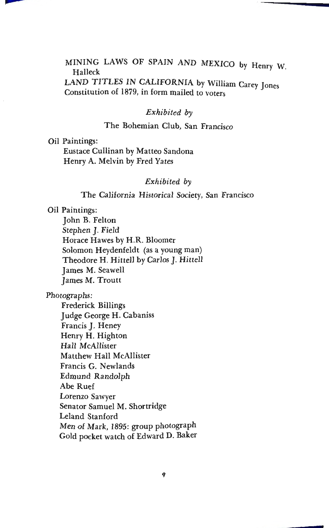## MINING LAWS OF SPAIN AND MEXICO by Henry W. Halleck

LAND TITLES IN CALIFORNIA by William Carey Jones Constitution of 1879, in form mailed to voters

#### *Exhibited by*

### The Bohemian Club, San Francisco

Oil Paintings:

**XXXX** 

Eustace Cullinan by Matteo Sandona Henry A. Melvin by Fred Yates

#### *Exhibited by*

The California Historical Society, San Francisco

Oil Paintings:

John B. Felton Stephen **J.** Field Horace Hawes by **H.R.** Bloomer Solomon Heydenfeldt (as a young man) Theodore H. Hittell by Carlos J. Hittell James M. Seawell James M. Troutt

Photographs:

Frederick Billings Judge George **H.** Cabaniss Francis J. Heney Henry H. Highton Hall McAllister Matthew Hall McAllister Francis G. Newlands Edmund Randolph Abe Ruef Lorenzo Sawyer Senator Samuel M. Shortridge Leland Stanford Men of Mark, 1895: group photograph Gold pocket watch of Edward D. Baker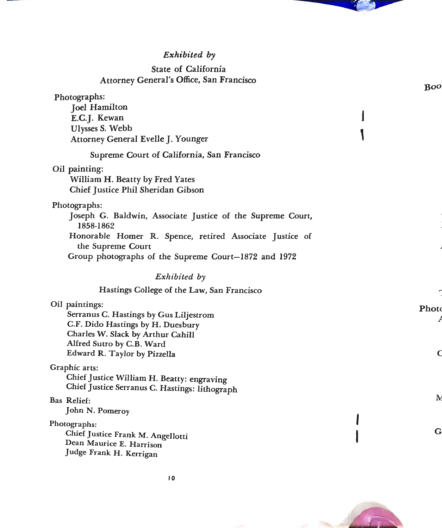# *Exhibited by*

# State of California Attorney General's Office, San Francisco

**Service** 

|                                                                                                                                                                                                                                 | Boo         |
|---------------------------------------------------------------------------------------------------------------------------------------------------------------------------------------------------------------------------------|-------------|
| Photographs:<br><b>Joel Hamilton</b><br>E.C.J. Kewan<br>Ulysses S. Webb<br>Attorney General Evelle J. Younger                                                                                                                   |             |
| Supreme Court of California, San Francisco                                                                                                                                                                                      |             |
| Oil painting:<br>William H. Beatty by Fred Yates<br>Chief Justice Phil Sheridan Gibson                                                                                                                                          |             |
| Photographs:<br>Joseph G. Baldwin, Associate Justice of the Supreme Court,<br>1858-1862<br>Honorable Homer R. Spence, retired Associate Justice of<br>the Supreme Court<br>Group photographs of the Supreme Court-1872 and 1972 |             |
| Exhibited by                                                                                                                                                                                                                    |             |
| Hastings College of the Law, San Francisco                                                                                                                                                                                      |             |
| Oil paintings:<br>Serranus C. Hastings by Gus Liljestrom<br>C.F. Dido Hastings by H. Duesbury<br>Charles W. Slack by Arthur Cahill<br>Alfred Sutro by C.B. Ward<br>Edward R. Taylor by Pizzella                                 | Phote<br>Q  |
| Graphic arts:<br>Chief Justice William H. Beatty: engraving<br>Chief Justice Serranus C. Hastings: lithograph                                                                                                                   |             |
| Bas Relief:<br>John N. Pomeroy                                                                                                                                                                                                  | IV.         |
| Photographs:<br>Chief Justice Frank M. Angellotti<br>Dean Maurice E. Harrison<br>Judge Frank H. Kerrigan                                                                                                                        | $\mathbf G$ |



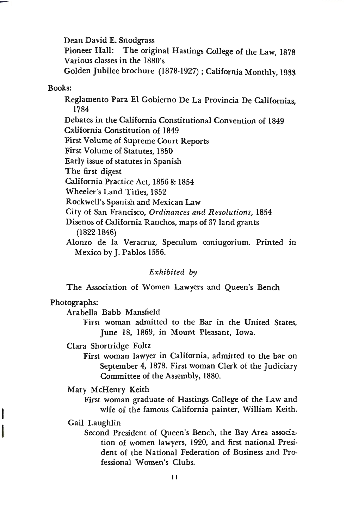Dean David E. Snodgrass Pioneer Hall: The original Hastings College of the Law, 1878 Various classes in the 1880's Golden Jubilee brochure (1878-1927); California Monthly, 1933

#### Books:

Reglamento Para El Gobierno De La Provincia De Californias, 1784

Debates in the California Constitutional Convention of 1849 California Constitution of 1849

First Volume of Supreme Court Reports

First Volume of Statutes, 1850

Early issue of statutes in Spanish

The first digest

California Practice Act, 1856 & 1854

Wheeler's Land Titles, 1852

Rockwell's Spanish and Mexican Law

City of San Francisco, *Ordinances and Resolutions,* 1854

Disenos of California Ranchos, maps of 37 land grants (1822-1846)

Alonzo de la Veracruz, Speculum coniugorium. Printed in Mexico by J. Pablos 1556.

#### *Exhibited by*

The Association of Women Lawyers and Queen's Bench

#### Photographs:

Arabella Babb Mansfield

First woman admitted to the Bar in the United States, June 18, 1869, in Mount Pleasant, Iowa.

Clara Shortridge Foltz

First woman lawyer in California, admitted to the bar on September 4, 1878. First woman Clerk of the Judiciary Committee of the Assembly, 1880.

Mary McHenry Keith

First woman graduate of Hastings College of the Law and wife of the famous California painter, William Keith.

Gail Laughlin

I

I

Second President of Queen's Bench, the Bay Area association of women lawyers, 1920, and first national President of the National Federation of Business and Professional Women's Clubs.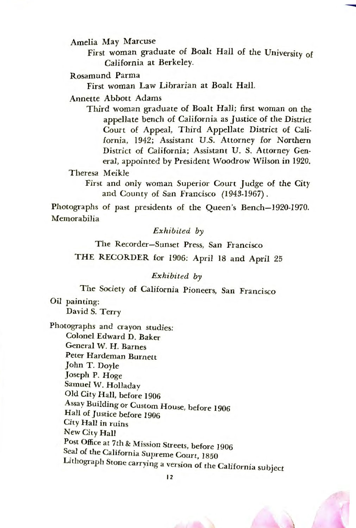Amelia May Marcuse

First woman graduate of Boalt Hall of the University of California at Berkeley.

Rosamund Parma

First woman Law Librarian at Boalt Hall.

Annette Abbott Adams

Third woman graduate of Boalt Hall; first woman on the appellate bench of California as Justice of the District Court of Appeal, Third Appellate District of California, 1942; Assistant U.S. Attorney for Northern District of California; Assistant U. S. Attorney General, appointed by President Woodrow Wilson in 1920.

Theresa Meikle

First and only woman Superior Court Judge of the City and County of San Francisco (1943-1967).

Photographs of past presidents of the Queen's Bench-1920-1970. Memorabilia

*Exhibited by* 

The Recorder-Sunset Press, San Francisco

THE RECORDER for 1906: April 18 and April 25

*Exhibited by* 

The Society of California Pioneers, San Francisco

Oil painting: David S. Terry

Photographs and crayon studies: Colonel Edward D. Baker General W. H. Barnes Peter Hardeman Burnett John T. Doyle Joseph P. Hoge Samuel W. Holladay Old City Hall, before 1906 Assay Building or Custom House, before 1906 Hall of Justice before 1906 City Hall in ruins New City Hall Post Office at 7th & Mission Streets, before l 906 Seal of the California Supreme Court, 1850 Lithograph Stone carrying a version of the California subject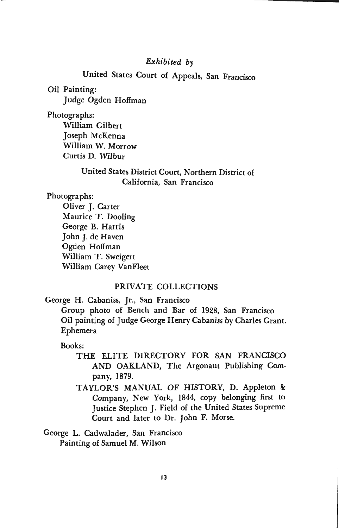#### *Exhibited by*

# United States Court of Appeals, San Francisco

Oil Painting: Judge Ogden Hoffman

Photographs:

William Gilbert Joseph McKenna William W. Morrow Curtis D. Wilbur

## United States District Court, Northern District of California, San Francisco

Photographs:

Oliver J. Carter Maurice T. Dooling George B. Harris John J. de Haven Ogden Hoffman William T. Sweigert William Carey Vanfleet

## PRIVATE COLLECTIONS

George H. Cabaniss, Jr., San Francisco Group photo of Bench and Bar of 1928, San Francisco Oil painting of Judge George Henry Cabaniss by Charles Grant. Ephemera

Books:

- THE ELITE DIRECTORY FOR SAN FRANCISCO AND OAKLAND, The Argonaut Publishing Company, 1879.
- TAYLOR'S MANUAL OF HISTORY, D. Appleton & Company, New York, 1844, copy belonging first to Justice Stephen J. Field of the United States Supreme Court and later to Dr. John F. Morse.

George L. Cadwalader, San Francisco Painting of Samuel M. Wilson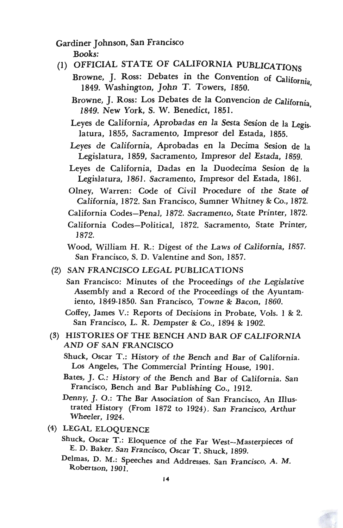Gardiner Johnson, San Francisco

Books:

# (1) OFFICIAL STATE OF CALIFORNIA PUBLICATIONS

- Browne, J. Ross: Debates in the Convention of California owne, *J. 2000, a comet the Convention* of California,
	- Browne, J. Ross: Los Debates de la Convencion de California 1849. New York, S. W. Benedict, 1851. '
	- Leyes de California, Aprobadas en la Sesta Sesion de Ia Legislatura, 1855, Sacramento, Impresor del Estada, 1855.
	- Leyes de California, Aprobadas en la Decima Sesion de Ia Legislatura, 1859, Sacramento, Impresor del Estada, 1859.
	- Leyes de California, Dadas en la Duodecima Sesion de *la*  Legislatura, 1861. Sacramento, Impresor del Estada, 1861.
	- Olney, Warren: Code of Civil Procedure of the State of California, 1872. San Francisco, Sumner Whitney & Co., 1872.
- California Codes-Penal, 1872. Sacramento, State Printer, 1872.
- California Codes-Political, 1872. Sacramento, State Printer, 1872.

Wood, William H. R.: Digest of the Laws of California, 1857. San Francisco, S. D. Valentine and Son, 1857.

(2) SAN FRANCISCO LEGAL PUBLICATIONS

San Francisco: Minutes of the Proceedings of the Legislative Assembly and a Record of the Proceedings of the Ayuntamiento, 1849-1850. San Francisco, Towne & Bacon, 1860.

Coffey, James V.: Reports of Decisions in Probate, *Vols. 1* & 2. San Francisco, L. R. Dempster & Co., 1894 & 1902.

- (3) HISTORIES OF THE BENCH AND BAR OF CALIFORNIA AND OF SAN FRANCISCO
	- Shuck, Oscar T.: History of the Bench and Bar of California. Los Angeles, The Commercial Printing House, 1901.
	- Bates, J. C.: History of the Bench and Bar of California. San Francisco, Bench and Bar Publishing Co., 1912.
	- Denny, J. 0.: The Bar Association of San Francisco, An Illustrated History (From 1872 to 1924). San Francisco, Arthur Wheeler, 1924.
- (4) LEGAL ELOQUENCE
	- Shuck, Oscar T.: Eloquence of the Far West-Masterpieces of E. D. Baker. San Francisco, Oscar T. Shuck, 1899.
	- Delmas, D. M.: Speeches and Addresses. San Francisco, A. M. Robertson, 1901.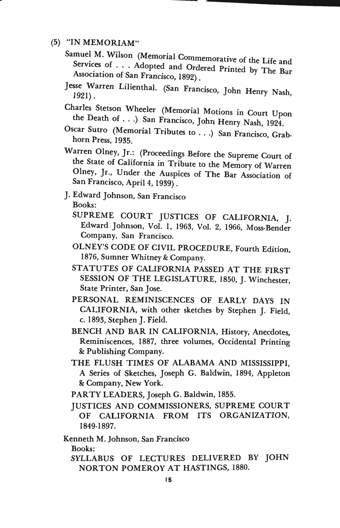- (5) **"IN MEMORIAM"** 
	- Samuel M. Wilson (Memorial Commemorative of the Life and Services of . . . Adopted and Ordered Printed by The Bar<br>Association of San Francisco, 1892)
	- Jesse Warren Lilienthal. (San Francisco, John Henry Nash, 1921).
	- Charles Stetson Wheeler (Memorial Motions in Court Upon the Death of . . .) San Francisco, John Henry Nash, 1924.
	- Oscar Sutro (Memorial Tributes to ... ) San Francisco, Grabhorn Press, 1935.
	- Warren Olney, Jr.: (Proceedings Before the Supreme Court of the State of California in Tribute to the Memory of Warren Olney, Jr., Under the Auspices of The Bar Association of San Francisco, April 4, 1939) .
	- J. Edward Johnson, San Francisco Books:
		- SUPREME COURT JUSTICES OF CALIFORNIA, J. Edward Johnson, Vol. *I,* 1963, Vol. 2, 1966, Moss-Bender Company, San Francisco.
		- OLNEY'S CODE OF CIVIL PROCEDURE, Fourth Edition, 1876, Sumner Whitney & Company.
		- STATUTES OF CALIFORNIA PASSED AT THE FIRST SESSION OF THE LEGISLATURE, 1850, J. Winchester, State Printer, San Jose.
		- PERSONAL REMINISCENCES OF EARLY DAYS IN CALIFORNIA, with other sketches by Stephen J. Field, c. 1893, Stephen J. Field.
		- BENCH AND BAR IN CALIFORNIA, History, Anecdotes, Reminiscences, 1887, three volumes, Occidental Printing & Publishing Company.
		- THE FLUSH TIMES OF ALABAMA AND MISSISSIPPI, A Series of Sketches, Joseph G. Baldwin, 1894, Appleton & Company, New York.
		- PARTY LEADERS, Joseph G. Baldwin, 1855.
		- JUSTICES AND COMMISSIONERS, SUPREME COURT OF CALIFORNIA FROM ITS ORGANIZATION, 1849-1897.

Kenneth M. Johnson, San Francisco

Books:

SYLLABUS OF LECTURES DELIVERED BY JOHN NORTON POMEROY AT HASTINGS, 1880.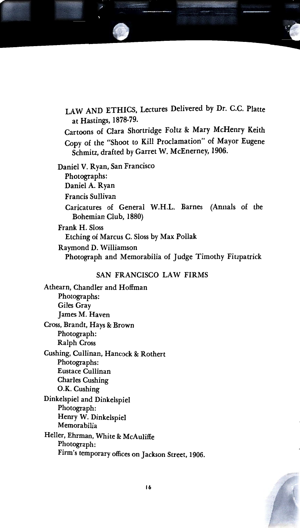

Caricatures of General W.H.L. Barnes (Annals of the Bohemian Club, 1880)

Frank H. Sloss Etching of Marcus C. Sloss by Max Pollak Raymond D. Williamson Photograph and Memorabilia of Judge Timothy Fitzpatrick

#### SAN FRANCISCO LAW FIRMS

Athearn, Chandler and Hoffman Photographs: Giles Gray James M. Haven Cross, Brandt, Hays & Brown Photograph: Ralph Cross Cushing, Cullinan, Hancock & Rothert Photographs: Eustace Cullinan Charles Cushing **0.K.** Cushing Dinkelspiel and Dinkelspiel Photograph: Henry W. Dinkelspiel Memorabilia Heller, Ehrman, White & McAuliffe Photograph: Firm's temporary offices on Jackson Street, 1906.